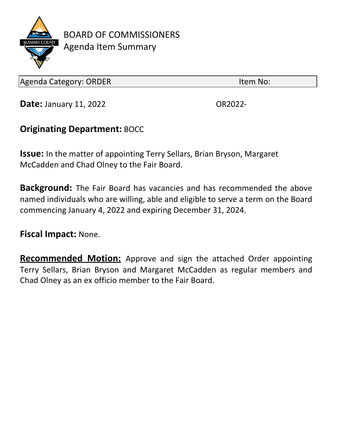

BOARD OF COMMISSIONERS Agenda Item Summary

Agenda Category: ORDER Internal and the United States of the Item No:

**Date:** January 11, 2022 **CALCE 12022-** OR2022-

## **Originating Department:** BOCC

**Issue:** In the matter of appointing Terry Sellars, Brian Bryson, Margaret McCadden and Chad Olney to the Fair Board.

**Background:** The Fair Board has vacancies and has recommended the above named individuals who are willing, able and eligible to serve a term on the Board commencing January 4, 2022 and expiring December 31, 2024.

**Fiscal Impact:** None.

**Recommended Motion:** Approve and sign the attached Order appointing Terry Sellars, Brian Bryson and Margaret McCadden as regular members and Chad Olney as an ex officio member to the Fair Board.